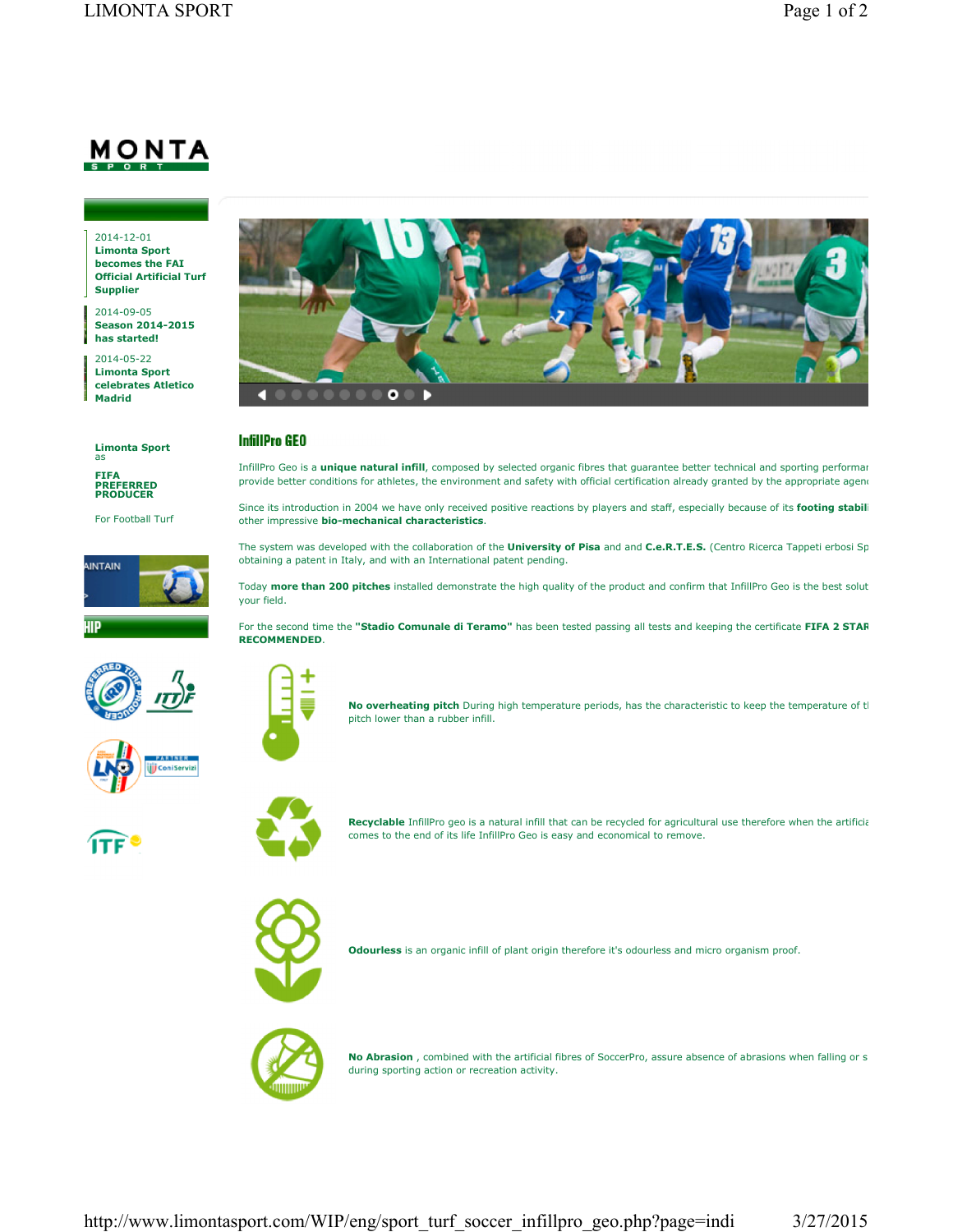## <u>MONTA</u>

2014-12-01 **Limonta Sport becomes the FAI Official Artificial Turf Supplier**

2014-09-05 **Season 2014-2015 has started!**

2014-05-22 **Limonta Sport celebrates Atletico Madrid**

**Limonta Sport** as

**FIFA PREFERRED PRODUCER**

For Football Turf











## **InfillPro GEO**

InfillPro Geo is a *unique natural infill*, composed by selected organic fibres that guarantee better technical and sporting performar provide better conditions for athletes, the environment and safety with official certification already granted by the appropriate agenc

Since its introduction in 2004 we have only received positive reactions by players and staff, especially because of its footing stabil other impressive **bio-mechanical characteristics**.

The system was developed with the collaboration of the *University of Pisa* and and C.e.R.T.E.S. (Centro Ricerca Tappeti erbosi Sp obtaining a patent in Italy, and with an International patent pending.

Today more than 200 pitches installed demonstrate the high quality of the product and confirm that InfillPro Geo is the best solut your field.

For the second time the "Stadio Comunale di Teramo" has been tested passing all tests and keeping the certificate FIFA 2 STAR **RECOMMENDED**.

comes to the end of its life InfillPro Geo is easy and economical to remove.



**No overheating pitch** During high temperature periods, has the characteristic to keep the temperature of tl pitch lower than a rubber infill.

**Recyclable** InfillPro geo is a natural infill that can be recycled for agricultural use therefore when the artificial



**Odourless** is an organic infill of plant origin therefore it's odourless and micro organism proof.



**No Abrasion**, combined with the artificial fibres of SoccerPro, assure absence of abrasions when falling or s during sporting action or recreation activity.